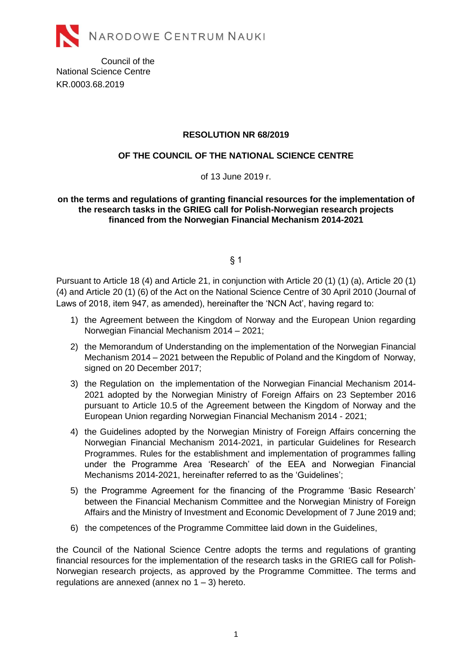

Council of the National Science Centre KR.0003.68.2019

## **RESOLUTION NR 68/2019**

## **OF THE COUNCIL OF THE NATIONAL SCIENCE CENTRE**

of 13 June 2019 r.

## **on the terms and regulations of granting financial resources for the implementation of the research tasks in the GRIEG call for Polish-Norwegian research projects financed from the Norwegian Financial Mechanism 2014-2021**

 $§$  1

Pursuant to Article 18 (4) and Article 21, in conjunction with Article 20 (1) (1) (a), Article 20 (1) (4) and Article 20 (1) (6) of the Act on the National Science Centre of 30 April 2010 (Journal of Laws of 2018, item 947, as amended), hereinafter the 'NCN Act', having regard to:

- 1) the Agreement between the Kingdom of Norway and the European Union regarding Norwegian Financial Mechanism 2014 – 2021;
- 2) the Memorandum of Understanding on the implementation of the Norwegian Financial Mechanism 2014 – 2021 between the Republic of Poland and the Kingdom of Norway, signed on 20 December 2017;
- 3) the Regulation on the implementation of the Norwegian Financial Mechanism 2014- 2021 adopted by the Norwegian Ministry of Foreign Affairs on 23 September 2016 pursuant to Article 10.5 of the Agreement between the Kingdom of Norway and the European Union regarding Norwegian Financial Mechanism 2014 - 2021;
- 4) the Guidelines adopted by the Norwegian Ministry of Foreign Affairs concerning the Norwegian Financial Mechanism 2014-2021, in particular Guidelines for Research Programmes. Rules for the establishment and implementation of programmes falling under the Programme Area 'Research' of the EEA and Norwegian Financial Mechanisms 2014-2021, hereinafter referred to as the 'Guidelines';
- 5) the Programme Agreement for the financing of the Programme 'Basic Research' between the Financial Mechanism Committee and the Norwegian Ministry of Foreign Affairs and the Ministry of Investment and Economic Development of 7 June 2019 and;
- 6) the competences of the Programme Committee laid down in the Guidelines,

the Council of the National Science Centre adopts the terms and regulations of granting financial resources for the implementation of the research tasks in the GRIEG call for Polish-Norwegian research projects, as approved by the Programme Committee. The terms and regulations are annexed (annex no  $1 - 3$ ) hereto.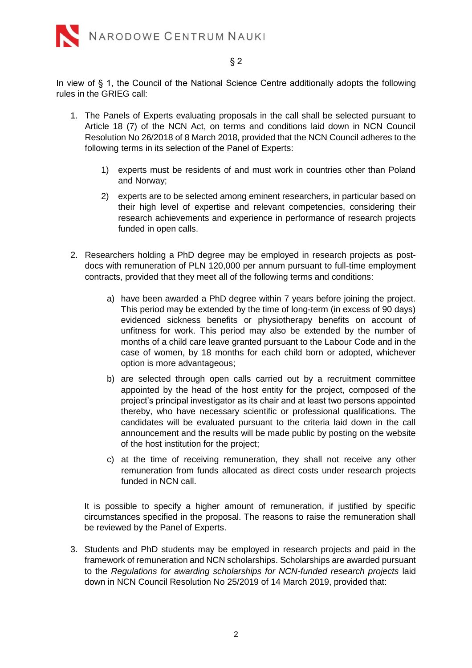

## § 2

In view of § 1, the Council of the National Science Centre additionally adopts the following rules in the GRIEG call:

- 1. The Panels of Experts evaluating proposals in the call shall be selected pursuant to Article 18 (7) of the NCN Act, on terms and conditions laid down in NCN Council Resolution No 26/2018 of 8 March 2018, provided that the NCN Council adheres to the following terms in its selection of the Panel of Experts:
	- 1) experts must be residents of and must work in countries other than Poland and Norway;
	- 2) experts are to be selected among eminent researchers, in particular based on their high level of expertise and relevant competencies, considering their research achievements and experience in performance of research projects funded in open calls.
- 2. Researchers holding a PhD degree may be employed in research projects as postdocs with remuneration of PLN 120,000 per annum pursuant to full-time employment contracts, provided that they meet all of the following terms and conditions:
	- a) have been awarded a PhD degree within 7 years before joining the project. This period may be extended by the time of long-term (in excess of 90 days) evidenced sickness benefits or physiotherapy benefits on account of unfitness for work. This period may also be extended by the number of months of a child care leave granted pursuant to the Labour Code and in the case of women, by 18 months for each child born or adopted, whichever option is more advantageous;
	- b) are selected through open calls carried out by a recruitment committee appointed by the head of the host entity for the project, composed of the project's principal investigator as its chair and at least two persons appointed thereby, who have necessary scientific or professional qualifications. The candidates will be evaluated pursuant to the criteria laid down in the call announcement and the results will be made public by posting on the website of the host institution for the project;
	- c) at the time of receiving remuneration, they shall not receive any other remuneration from funds allocated as direct costs under research projects funded in NCN call.

It is possible to specify a higher amount of remuneration, if justified by specific circumstances specified in the proposal. The reasons to raise the remuneration shall be reviewed by the Panel of Experts.

3. Students and PhD students may be employed in research projects and paid in the framework of remuneration and NCN scholarships. Scholarships are awarded pursuant to the *Regulations for awarding scholarships for NCN-funded research projects* laid down in NCN Council Resolution No 25/2019 of 14 March 2019, provided that: